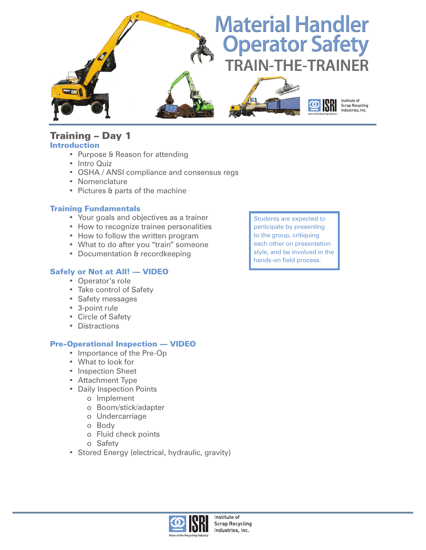

### Training – Day 1 **Introduction**

- Purpose & Reason for attending
- Intro Quiz
- • OSHA / ANSI compliance and consensus regs
- • Nomenclature
- Pictures & parts of the machine

#### Training Fundamentals

- • Your goals and objectives as a trainer
- How to recognize trainee personalities
- How to follow the written program
- What to do after you "train" someone
- Documentation & recordkeeping

### Safely or Not at All! — VIDEO

- • Operator's role
- Take control of Safety
- • Safety messages
- • 3-point rule
- • Circle of Safety
- Distractions

### Pre-Operational Inspection — VIDEO

- Importance of the Pre-Op
- • What to look for
- Inspection Sheet
- Attachment Type
- • Daily Inspection Points
	- o Implement
	- o Boom/stick/adapter
	- o Undercarriage
	- o Body
	- o Fluid check points
	- o Safety
- Stored Energy (electrical, hydraulic, gravity)

Students are expected to participate by presenting to the group, critiquing each other on presentation style, and be involved in the hands-on field process.